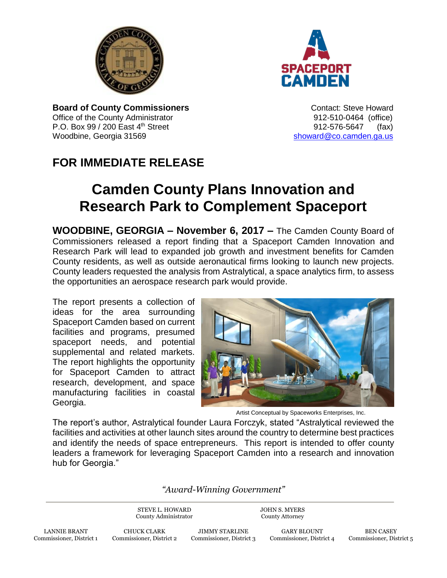



**Board of County Commissioners CONTER 1999** Contact: Steve Howard Office of the County Administrator 912-510-0464 (office) P.O. Box 99 / 200 East 4th Street 912-576-5647 (fax) Woodbine, Georgia 31569 [showard@co.camden.ga.us](mailto:showard@co.camden.ga.us)

## **FOR IMMEDIATE RELEASE**

## **Camden County Plans Innovation and Research Park to Complement Spaceport**

**WOODBINE, GEORGIA – November 6, 2017 –** The Camden County Board of Commissioners released a report finding that a Spaceport Camden Innovation and Research Park will lead to expanded job growth and investment benefits for Camden County residents, as well as outside aeronautical firms looking to launch new projects. County leaders requested the analysis from Astralytical, a space analytics firm, to assess the opportunities an aerospace research park would provide.

The report presents a collection of ideas for the area surrounding Spaceport Camden based on current facilities and programs, presumed spaceport needs, and potential supplemental and related markets. The report highlights the opportunity for Spaceport Camden to attract research, development, and space manufacturing facilities in coastal Georgia.



Artist Conceptual by Spaceworks Enterprises, Inc.

The report's author, Astralytical founder Laura Forczyk, stated "Astralytical reviewed the facilities and activities at other launch sites around the country to determine best practices and identify the needs of space entrepreneurs. This report is intended to offer county leaders a framework for leveraging Spaceport Camden into a research and innovation hub for Georgia."

*"Award-Winning Government"*

STEVE L. HOWARD County Administrator JOHN S. MYERS County Attorney

LANNIE BRANT Commissioner, District 1

CHUCK CLARK Commissioner, District 2

JIMMY STARLINE Commissioner, District 3

GARY BLOUNT Commissioner, District 4

BEN CASEY Commissioner, District 5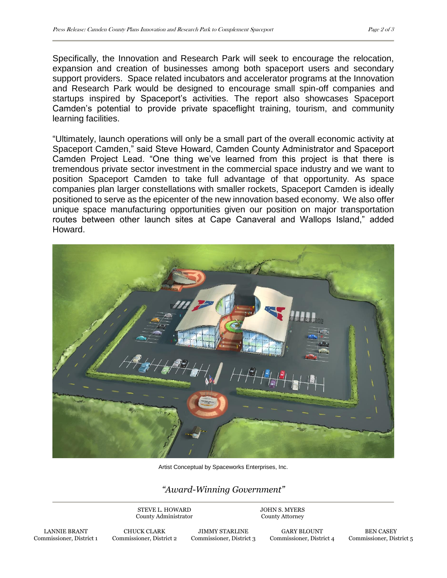Specifically, the Innovation and Research Park will seek to encourage the relocation, expansion and creation of businesses among both spaceport users and secondary support providers. Space related incubators and accelerator programs at the Innovation and Research Park would be designed to encourage small spin-off companies and startups inspired by Spaceport's activities. The report also showcases Spaceport Camden's potential to provide private spaceflight training, tourism, and community learning facilities.

"Ultimately, launch operations will only be a small part of the overall economic activity at Spaceport Camden," said Steve Howard, Camden County Administrator and Spaceport Camden Project Lead. "One thing we've learned from this project is that there is tremendous private sector investment in the commercial space industry and we want to position Spaceport Camden to take full advantage of that opportunity. As space companies plan larger constellations with smaller rockets, Spaceport Camden is ideally positioned to serve as the epicenter of the new innovation based economy. We also offer unique space manufacturing opportunities given our position on major transportation routes between other launch sites at Cape Canaveral and Wallops Island," added Howard.



Artist Conceptual by Spaceworks Enterprises, Inc.

## *"Award-Winning Government"*

STEVE L. HOWARD County Administrator JOHN S. MYERS County Attorney

> GARY BLOUNT Commissioner, District 4

BEN CASEY Commissioner, District 5

LANNIE BRANT Commissioner, District 1

CHUCK CLARK Commissioner, District 2

JIMMY STARLINE Commissioner, District 3